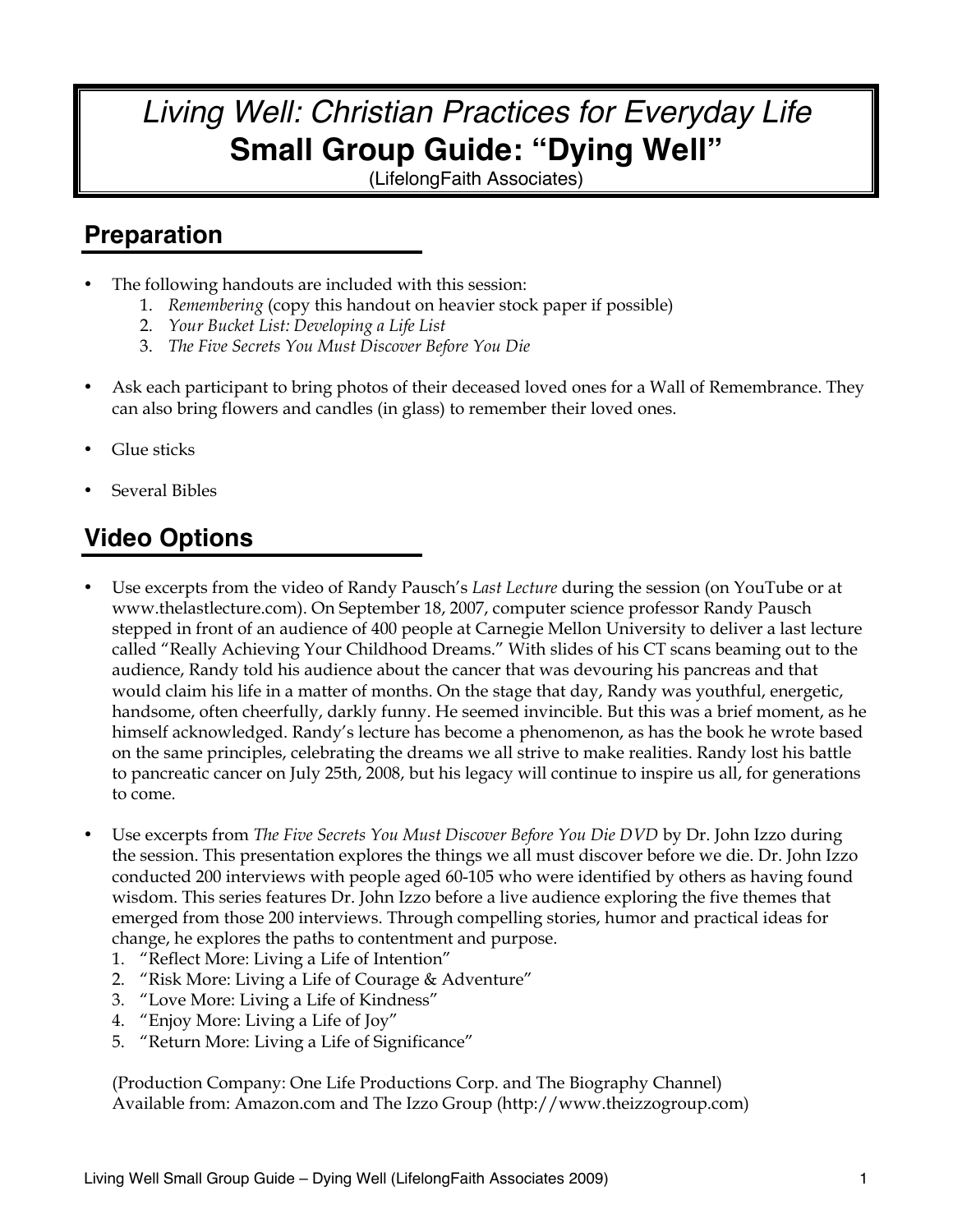# *Living Well: Christian Practices for Everyday Life* **Small Group Guide: "Dying Well"**

(LifelongFaith Associates)

# **Preparation**

- The following handouts are included with this session:
	- 1. *Remembering* (copy this handout on heavier stock paper if possible)
	- 2. *Your Bucket List: Developing a Life List*
	- 3. *The Five Secrets You Must Discover Before You Die*
- Ask each participant to bring photos of their deceased loved ones for a Wall of Remembrance. They can also bring flowers and candles (in glass) to remember their loved ones.
- Glue sticks
- Several Bibles

# **Video Options**

- Use excerpts from the video of Randy Pausch's *Last Lecture* during the session (on YouTube or at www.thelastlecture.com). On September 18, 2007, computer science professor Randy Pausch stepped in front of an audience of 400 people at Carnegie Mellon University to deliver a last lecture called "Really Achieving Your Childhood Dreams." With slides of his CT scans beaming out to the audience, Randy told his audience about the cancer that was devouring his pancreas and that would claim his life in a matter of months. On the stage that day, Randy was youthful, energetic, handsome, often cheerfully, darkly funny. He seemed invincible. But this was a brief moment, as he himself acknowledged. Randy's lecture has become a phenomenon, as has the book he wrote based on the same principles, celebrating the dreams we all strive to make realities. Randy lost his battle to pancreatic cancer on July 25th, 2008, but his legacy will continue to inspire us all, for generations to come.
- Use excerpts from *The Five Secrets You Must Discover Before You Die DVD* by Dr. John Izzo during the session. This presentation explores the things we all must discover before we die. Dr. John Izzo conducted 200 interviews with people aged 60-105 who were identified by others as having found wisdom. This series features Dr. John Izzo before a live audience exploring the five themes that emerged from those 200 interviews. Through compelling stories, humor and practical ideas for change, he explores the paths to contentment and purpose.
	- 1. "Reflect More: Living a Life of Intention"
	- 2. "Risk More: Living a Life of Courage & Adventure"
	- 3. "Love More: Living a Life of Kindness"
	- 4. "Enjoy More: Living a Life of Joy"
	- 5. "Return More: Living a Life of Significance"

(Production Company: One Life Productions Corp. and The Biography Channel) Available from: Amazon.com and The Izzo Group (http://www.theizzogroup.com)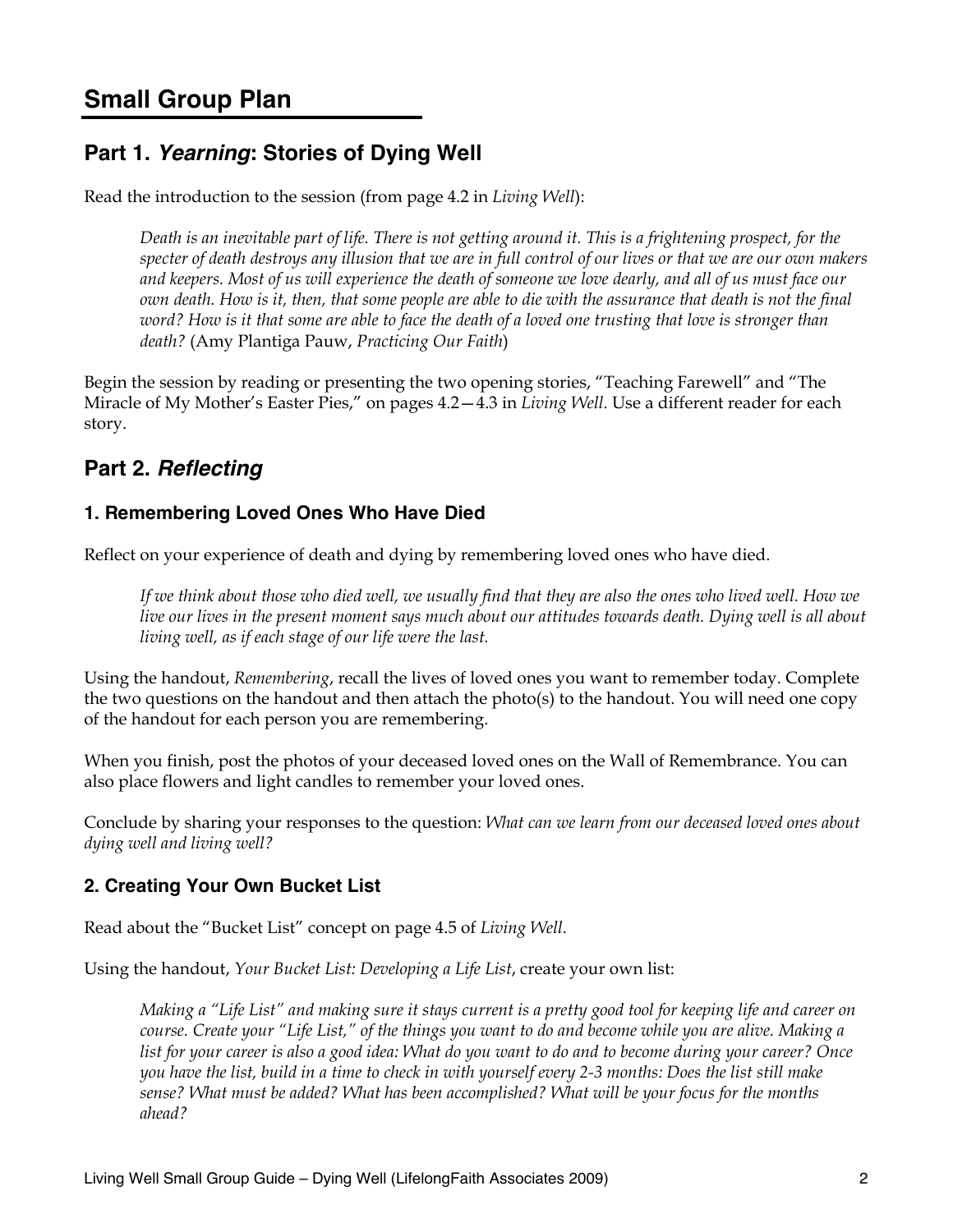## **Small Group Plan**

## **Part 1.** *Yearning***: Stories of Dying Well**

Read the introduction to the session (from page 4.2 in *Living Well*):

*Death is an inevitable part of life. There is not getting around it. This is a frightening prospect, for the specter of death destroys any illusion that we are in full control of our lives or that we are our own makers and keepers. Most of us will experience the death of someone we love dearly, and all of us must face our own death. How is it, then, that some people are able to die with the assurance that death is not the final word? How is it that some are able to face the death of a loved one trusting that love is stronger than death?* (Amy Plantiga Pauw, *Practicing Our Faith*)

Begin the session by reading or presenting the two opening stories, "Teaching Farewell" and "The Miracle of My Mother's Easter Pies," on pages 4.2—4.3 in *Living Well*. Use a different reader for each story.

## **Part 2.** *Reflecting*

#### **1. Remembering Loved Ones Who Have Died**

Reflect on your experience of death and dying by remembering loved ones who have died.

*If we think about those who died well, we usually find that they are also the ones who lived well. How we live our lives in the present moment says much about our attitudes towards death. Dying well is all about living well, as if each stage of our life were the last.* 

Using the handout, *Remembering*, recall the lives of loved ones you want to remember today. Complete the two questions on the handout and then attach the photo(s) to the handout. You will need one copy of the handout for each person you are remembering.

When you finish, post the photos of your deceased loved ones on the Wall of Remembrance. You can also place flowers and light candles to remember your loved ones.

Conclude by sharing your responses to the question: *What can we learn from our deceased loved ones about dying well and living well?* 

### **2. Creating Your Own Bucket List**

Read about the "Bucket List" concept on page 4.5 of *Living Well*.

Using the handout, *Your Bucket List: Developing a Life List*, create your own list:

*Making a "Life List" and making sure it stays current is a pretty good tool for keeping life and career on course. Create your "Life List," of the things you want to do and become while you are alive. Making a list for your career is also a good idea: What do you want to do and to become during your career? Once you have the list, build in a time to check in with yourself every 2-3 months: Does the list still make sense? What must be added? What has been accomplished? What will be your focus for the months ahead?*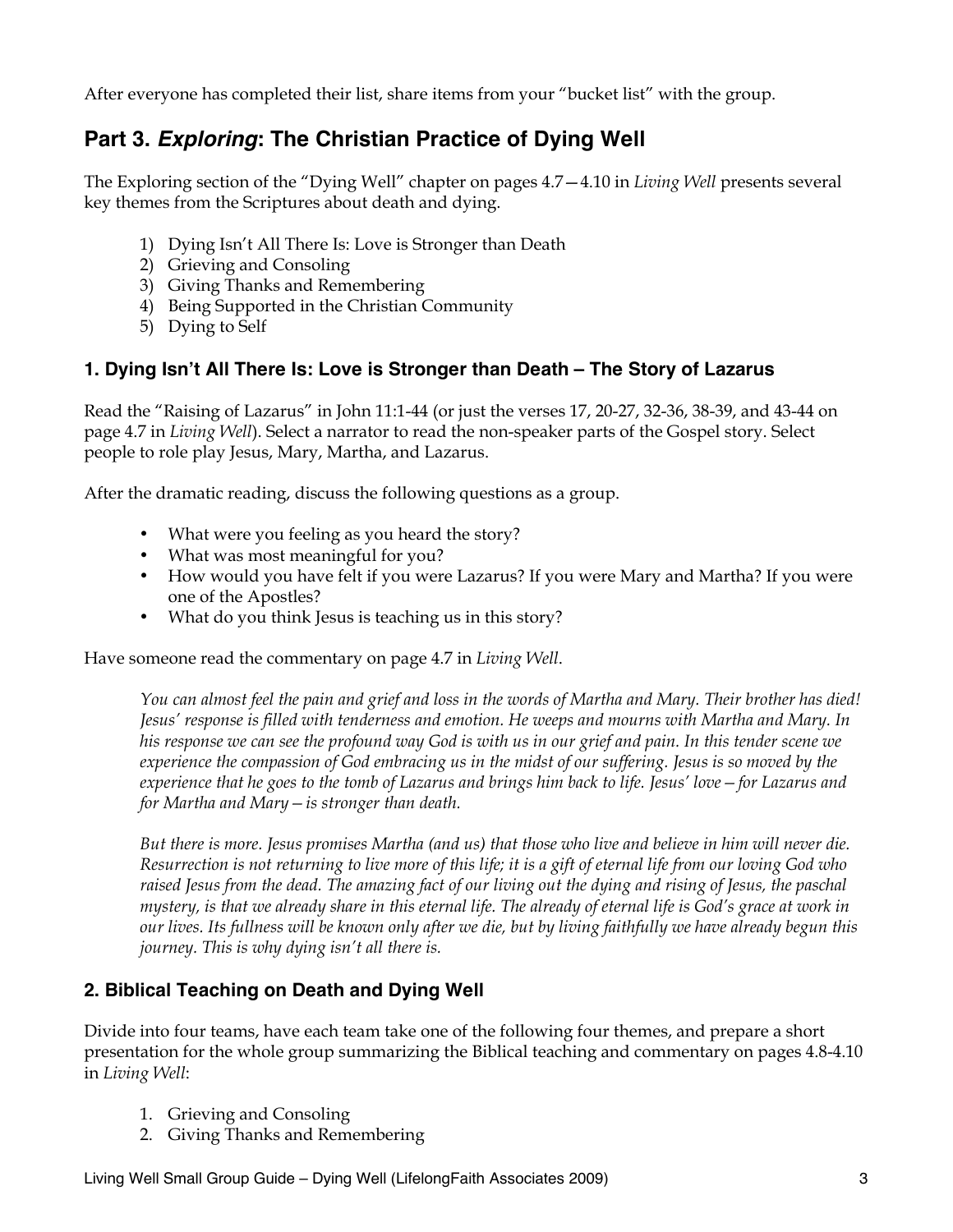After everyone has completed their list, share items from your "bucket list" with the group.

## **Part 3.** *Exploring***: The Christian Practice of Dying Well**

The Exploring section of the "Dying Well" chapter on pages 4.7—4.10 in *Living Well* presents several key themes from the Scriptures about death and dying.

- 1) Dying Isn't All There Is: Love is Stronger than Death
- 2) Grieving and Consoling
- 3) Giving Thanks and Remembering
- 4) Being Supported in the Christian Community
- 5) Dying to Self

#### **1. Dying Isn't All There Is: Love is Stronger than Death – The Story of Lazarus**

Read the "Raising of Lazarus" in John 11:1-44 (or just the verses 17, 20-27, 32-36, 38-39, and 43-44 on page 4.7 in *Living Well*). Select a narrator to read the non-speaker parts of the Gospel story. Select people to role play Jesus, Mary, Martha, and Lazarus.

After the dramatic reading, discuss the following questions as a group.

- What were you feeling as you heard the story?
- What was most meaningful for you?
- How would you have felt if you were Lazarus? If you were Mary and Martha? If you were one of the Apostles?
- What do you think Jesus is teaching us in this story?

Have someone read the commentary on page 4.7 in *Living Well*.

*You can almost feel the pain and grief and loss in the words of Martha and Mary. Their brother has died! Jesus' response is filled with tenderness and emotion. He weeps and mourns with Martha and Mary. In his response we can see the profound way God is with us in our grief and pain. In this tender scene we experience the compassion of God embracing us in the midst of our suffering. Jesus is so moved by the experience that he goes to the tomb of Lazarus and brings him back to life. Jesus' love—for Lazarus and for Martha and Mary—is stronger than death.*

*But there is more. Jesus promises Martha (and us) that those who live and believe in him will never die. Resurrection is not returning to live more of this life; it is a gift of eternal life from our loving God who raised Jesus from the dead. The amazing fact of our living out the dying and rising of Jesus, the paschal mystery, is that we already share in this eternal life. The already of eternal life is God's grace at work in our lives. Its fullness will be known only after we die, but by living faithfully we have already begun this journey. This is why dying isn't all there is.*

### **2. Biblical Teaching on Death and Dying Well**

Divide into four teams, have each team take one of the following four themes, and prepare a short presentation for the whole group summarizing the Biblical teaching and commentary on pages 4.8-4.10 in *Living Well*:

- 1. Grieving and Consoling
- 2. Giving Thanks and Remembering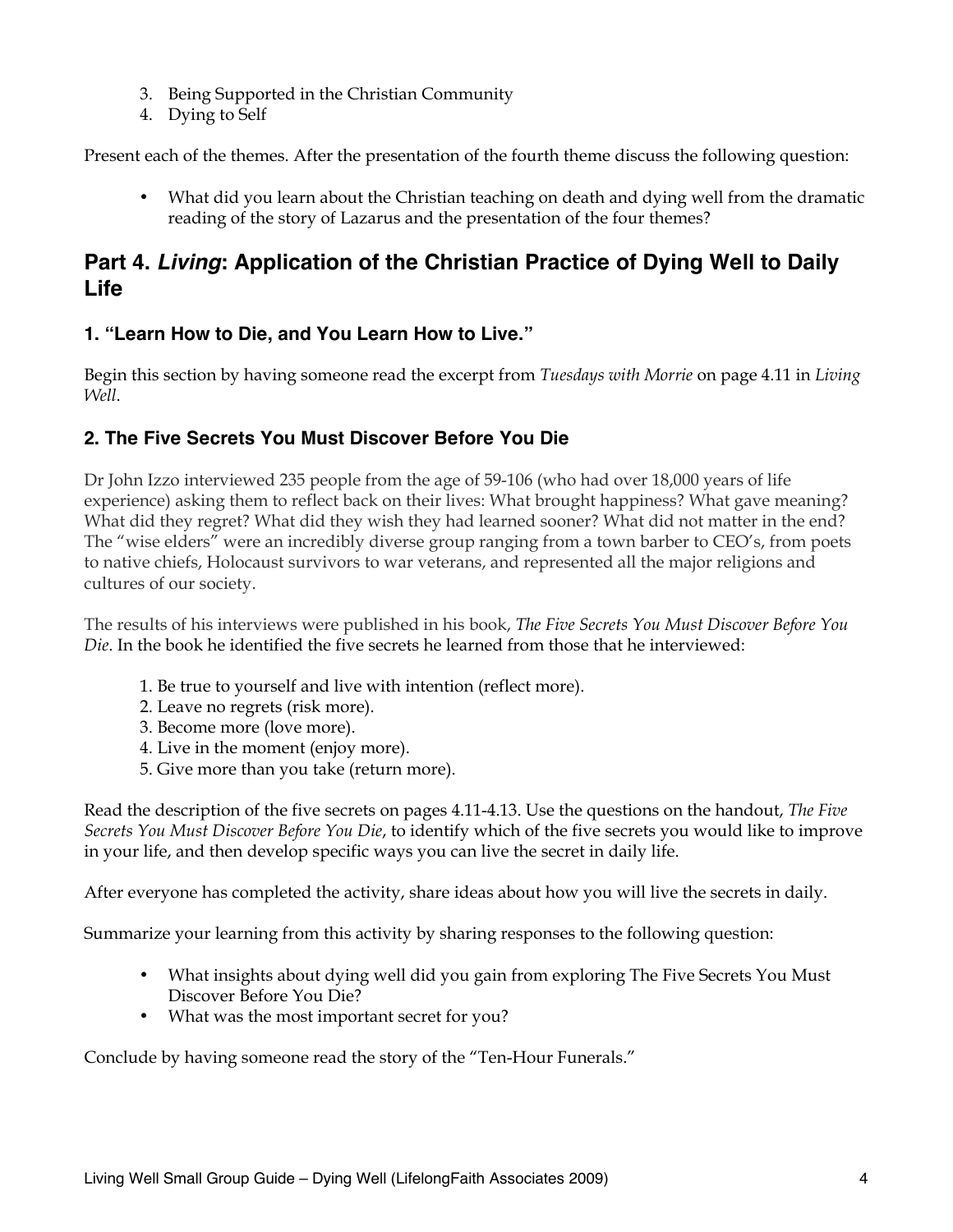- 3. Being Supported in the Christian Community
- 4. Dying to Self

Present each of the themes. After the presentation of the fourth theme discuss the following question:

• What did you learn about the Christian teaching on death and dying well from the dramatic reading of the story of Lazarus and the presentation of the four themes?

## **Part 4.** *Living***: Application of the Christian Practice of Dying Well to Daily Life**

### **1. "Learn How to Die, and You Learn How to Live."**

Begin this section by having someone read the excerpt from *Tuesdays with Morrie* on page 4.11 in *Living Well*.

### **2. The Five Secrets You Must Discover Before You Die**

Dr John Izzo interviewed 235 people from the age of 59-106 (who had over 18,000 years of life experience) asking them to reflect back on their lives: What brought happiness? What gave meaning? What did they regret? What did they wish they had learned sooner? What did not matter in the end? The "wise elders" were an incredibly diverse group ranging from a town barber to CEO's, from poets to native chiefs, Holocaust survivors to war veterans, and represented all the major religions and cultures of our society.

The results of his interviews were published in his book, *The Five Secrets You Must Discover Before You Die*. In the book he identified the five secrets he learned from those that he interviewed:

- 1. Be true to yourself and live with intention (reflect more).
- 2. Leave no regrets (risk more).
- 3. Become more (love more).
- 4. Live in the moment (enjoy more).
- 5. Give more than you take (return more).

Read the description of the five secrets on pages 4.11-4.13. Use the questions on the handout, *The Five Secrets You Must Discover Before You Die*, to identify which of the five secrets you would like to improve in your life, and then develop specific ways you can live the secret in daily life.

After everyone has completed the activity, share ideas about how you will live the secrets in daily.

Summarize your learning from this activity by sharing responses to the following question:

- What insights about dying well did you gain from exploring The Five Secrets You Must Discover Before You Die?
- What was the most important secret for you?

Conclude by having someone read the story of the "Ten-Hour Funerals."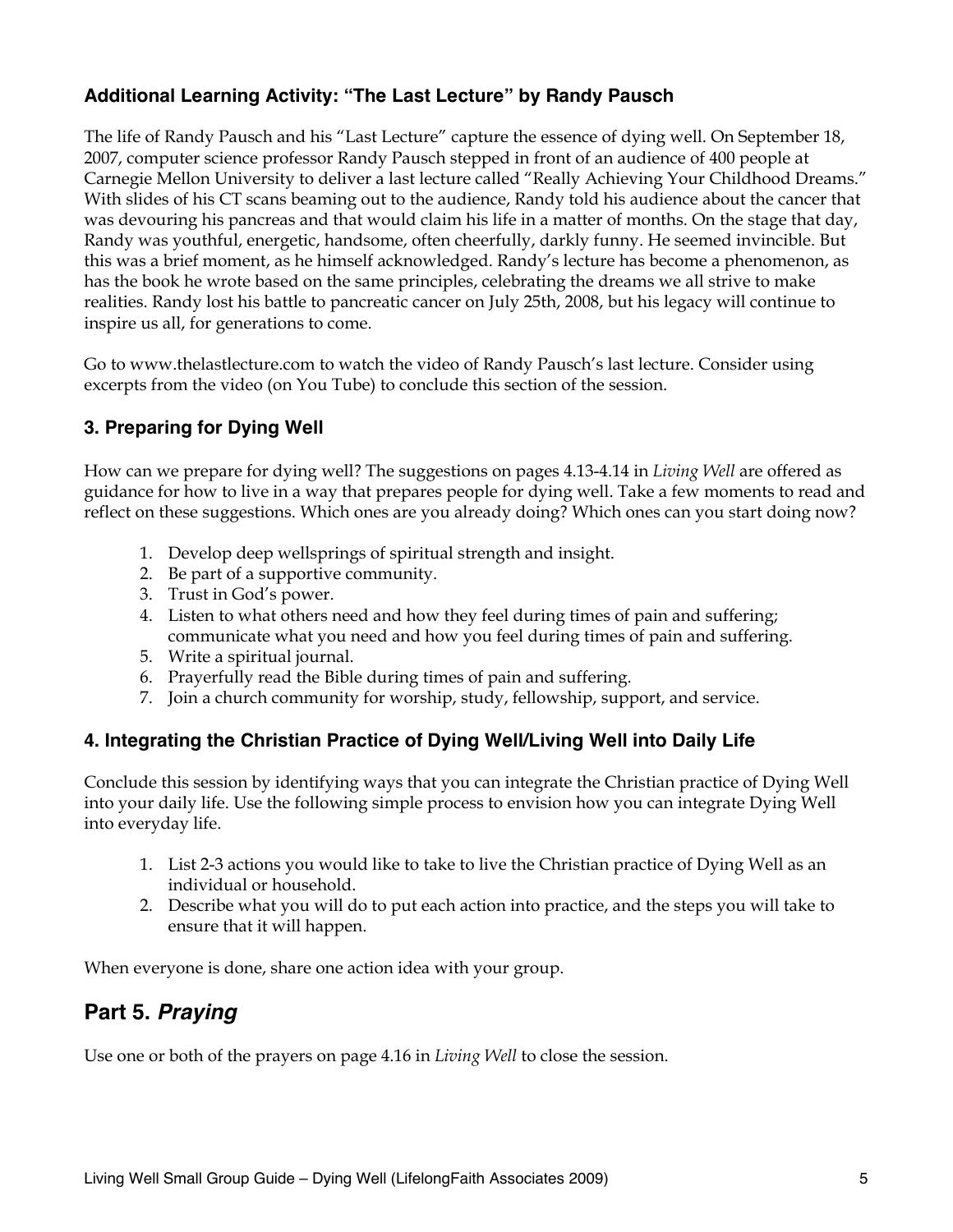### **Additional Learning Activity: "The Last Lecture" by Randy Pausch**

The life of Randy Pausch and his "Last Lecture" capture the essence of dying well. On September 18, 2007, computer science professor Randy Pausch stepped in front of an audience of 400 people at Carnegie Mellon University to deliver a last lecture called "Really Achieving Your Childhood Dreams." With slides of his CT scans beaming out to the audience, Randy told his audience about the cancer that was devouring his pancreas and that would claim his life in a matter of months. On the stage that day, Randy was youthful, energetic, handsome, often cheerfully, darkly funny. He seemed invincible. But this was a brief moment, as he himself acknowledged. Randy's lecture has become a phenomenon, as has the book he wrote based on the same principles, celebrating the dreams we all strive to make realities. Randy lost his battle to pancreatic cancer on July 25th, 2008, but his legacy will continue to inspire us all, for generations to come.

Go to www.thelastlecture.com to watch the video of Randy Pausch's last lecture. Consider using excerpts from the video (on You Tube) to conclude this section of the session.

### **3. Preparing for Dying Well**

How can we prepare for dying well? The suggestions on pages 4.13-4.14 in *Living Well* are offered as guidance for how to live in a way that prepares people for dying well. Take a few moments to read and reflect on these suggestions. Which ones are you already doing? Which ones can you start doing now?

- 1. Develop deep wellsprings of spiritual strength and insight.
- 2. Be part of a supportive community.
- 3. Trust in God's power.
- 4. Listen to what others need and how they feel during times of pain and suffering; communicate what you need and how you feel during times of pain and suffering.
- 5. Write a spiritual journal.
- 6. Prayerfully read the Bible during times of pain and suffering.
- 7. Join a church community for worship, study, fellowship, support, and service.

### **4. Integrating the Christian Practice of Dying Well/Living Well into Daily Life**

Conclude this session by identifying ways that you can integrate the Christian practice of Dying Well into your daily life. Use the following simple process to envision how you can integrate Dying Well into everyday life.

- 1. List 2-3 actions you would like to take to live the Christian practice of Dying Well as an individual or household.
- 2. Describe what you will do to put each action into practice, and the steps you will take to ensure that it will happen.

When everyone is done, share one action idea with your group.

## **Part 5.** *Praying*

Use one or both of the prayers on page 4.16 in *Living Well* to close the session.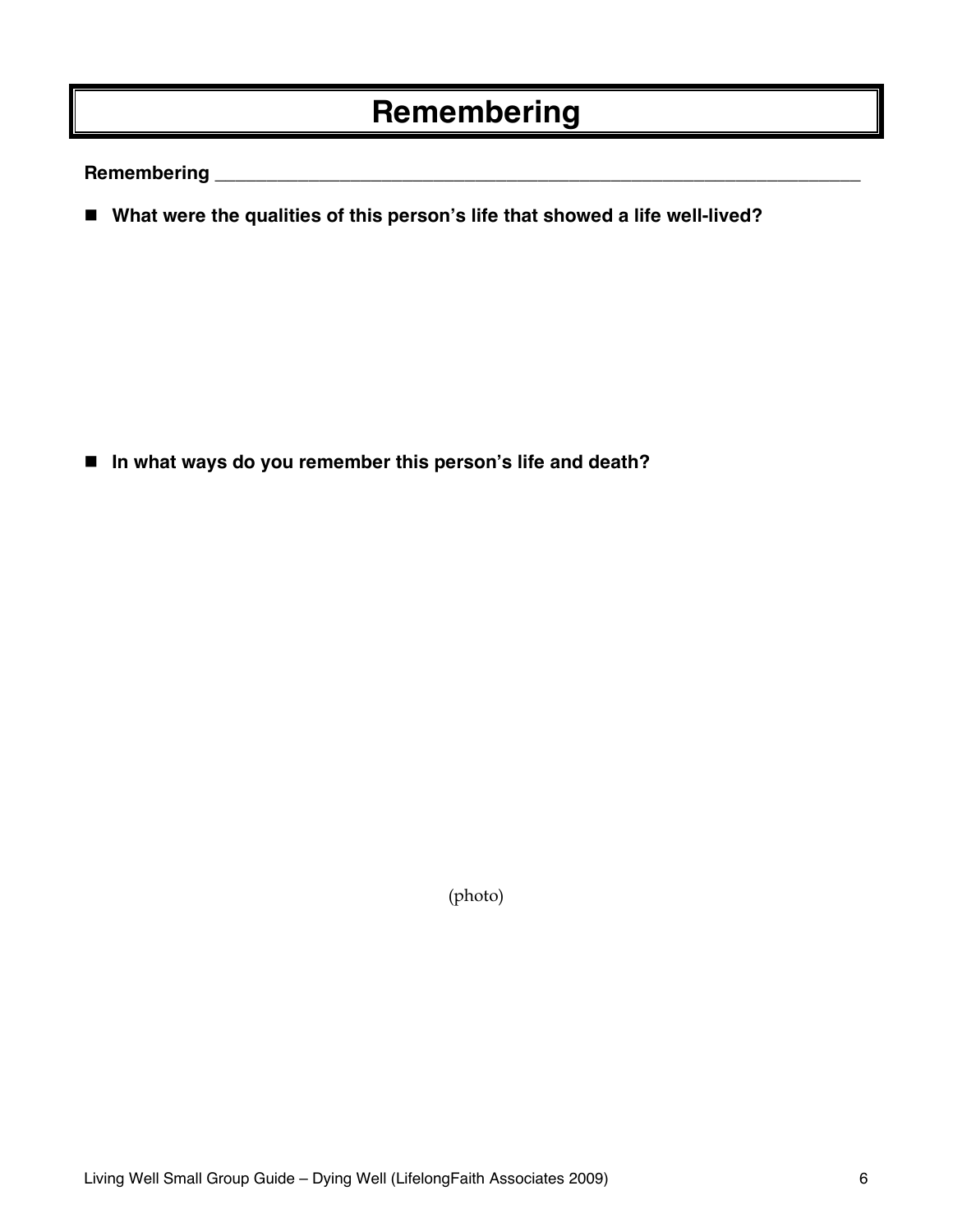# **Remembering**

**Remembering \_\_\_\_\_\_\_\_\_\_\_\_\_\_\_\_\_\_\_\_\_\_\_\_\_\_\_\_\_\_\_\_\_\_\_\_\_\_\_\_\_\_\_\_\_\_\_\_\_\_\_\_\_\_\_\_\_\_\_\_\_\_**

■ What were the qualities of this person's life that showed a life well-lived?

**In what ways do you remember this person's life and death?** 

(photo)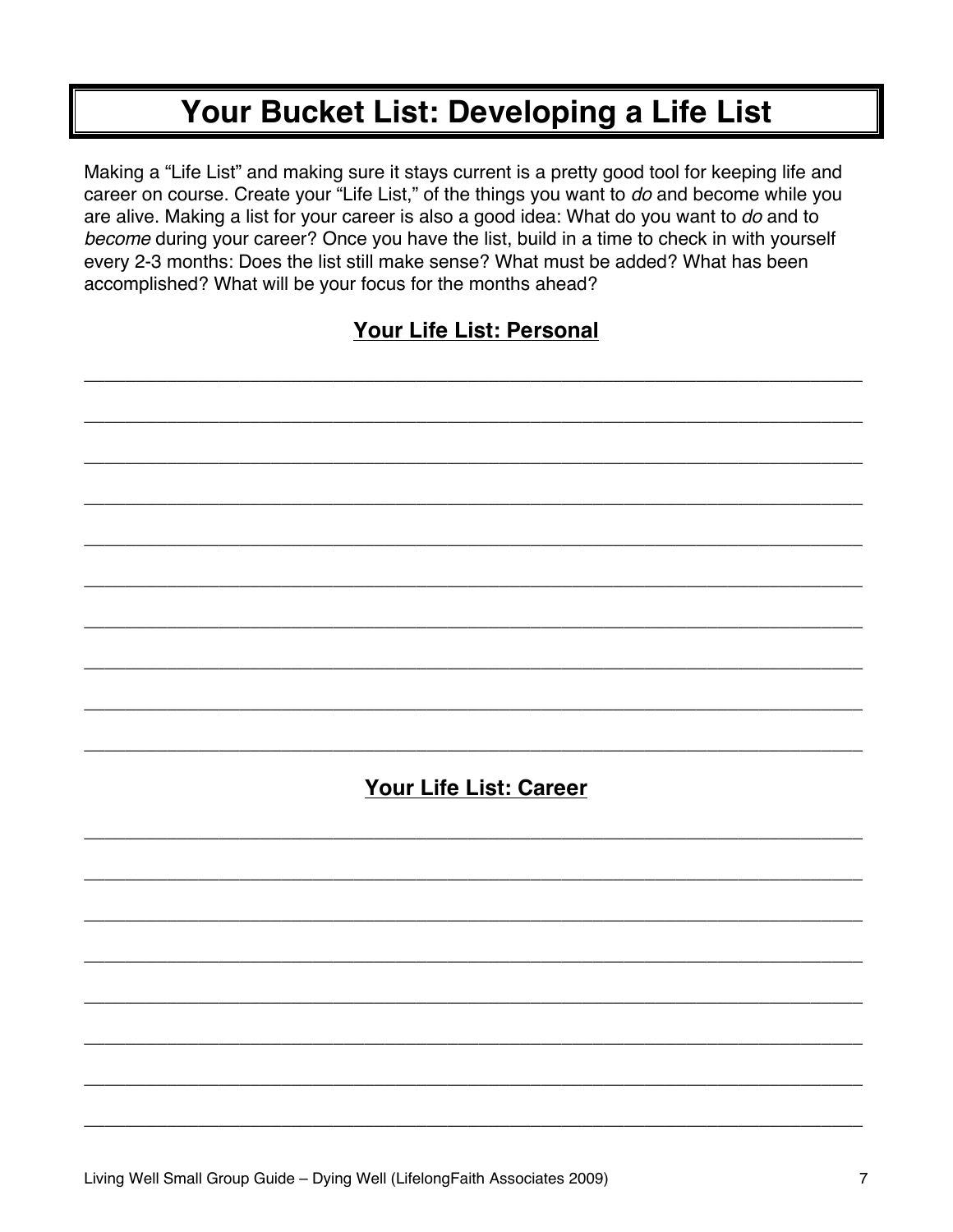# Your Bucket List: Developing a Life List

Making a "Life List" and making sure it stays current is a pretty good tool for keeping life and career on course. Create your "Life List," of the things you want to do and become while you are alive. Making a list for your career is also a good idea: What do you want to do and to become during your career? Once you have the list, build in a time to check in with yourself every 2-3 months: Does the list still make sense? What must be added? What has been accomplished? What will be your focus for the months ahead?

## Your Life List: Personal

| Your Life List: Career |
|------------------------|
|                        |
|                        |
|                        |
|                        |
|                        |
|                        |
|                        |
|                        |
|                        |
|                        |
|                        |
|                        |
|                        |
|                        |
|                        |
|                        |
|                        |
|                        |
|                        |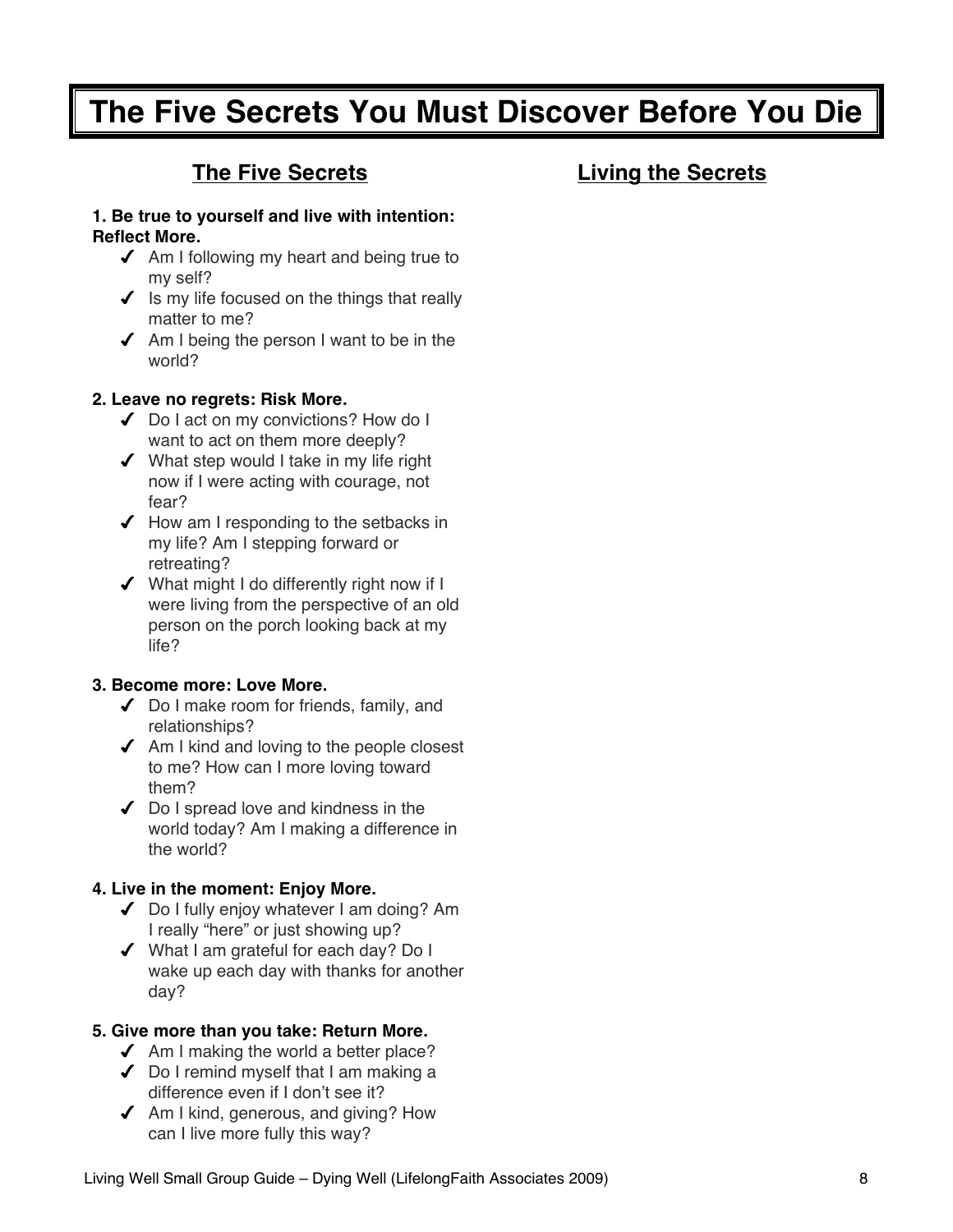# **The Five Secrets You Must Discover Before You Die**

## **The Five Secrets**

## **Living the Secrets**

#### **1. Be true to yourself and live with intention: Reflect More.**

- $\triangleleft$  Am I following my heart and being true to my self?
- $\checkmark$  is my life focused on the things that really matter to me?
- $\triangleleft$  Am I being the person I want to be in the world?

#### **2. Leave no regrets: Risk More.**

- ◆ Do I act on my convictions? How do I want to act on them more deeply?
- ◆ What step would I take in my life right now if I were acting with courage, not fear?
- $\blacktriangleright$  How am I responding to the setbacks in my life? Am I stepping forward or retreating?
- What might I do differently right now if I were living from the perspective of an old person on the porch looking back at my life?

#### **3. Become more: Love More.**

- ◆ Do I make room for friends, family, and relationships?
- $\triangleleft$  Am I kind and loving to the people closest to me? How can I more loving toward them?
- $\triangleleft$  Do I spread love and kindness in the world today? Am I making a difference in the world?

#### **4. Live in the moment: Enjoy More.**

- ◆ Do I fully enjoy whatever I am doing? Am I really "here" or just showing up?
- What I am grateful for each day? Do I wake up each day with thanks for another day?

#### **5. Give more than you take: Return More.**

- $\triangleleft$  Am I making the world a better place?
- Do I remind myself that I am making a difference even if I don't see it?
- $\triangleleft$  Am I kind, generous, and giving? How can I live more fully this way?